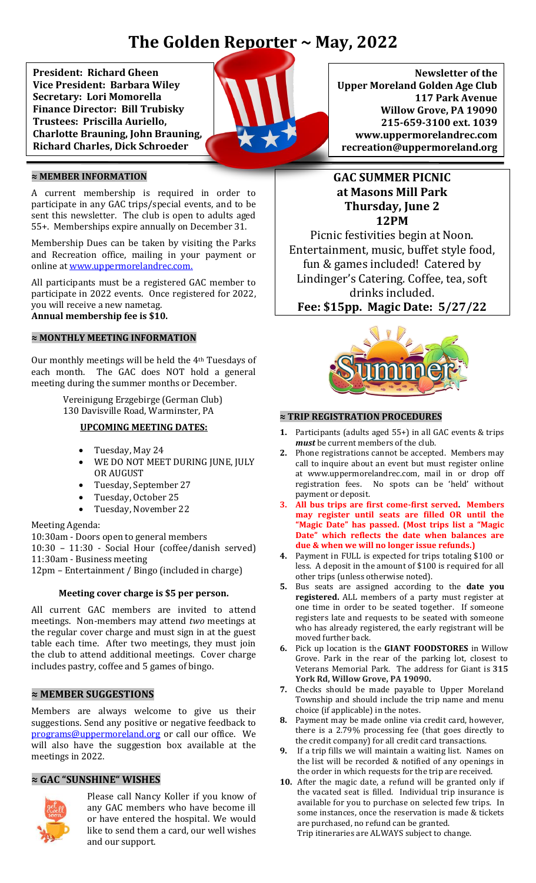# **The Golden Reporter ~ May, 2022**

 **President: Richard Gheen**   **Vice President: Barbara Wiley**  **Finance Director: Bill Trubisky Secretary: Lori Momorella Trustees: Priscilla Auriello, Charlotte Brauning, John Brauning, Richard Charles, Dick Schroeder**



#### **≈ MEMBER INFORMATION**

A current membership is required in order to participate in any GAC trips/special events, and to be sent this newsletter. The club is open to adults aged 55+. Memberships expire annually on December 31.

Membership Dues can be taken by visiting the Parks and Recreation office, mailing in your payment or online a[t www.uppermorelandrec.com.](http://www.uppermorelandrec.com/)

All participants must be a registered GAC member to participate in 2022 events. Once registered for 2022, you will receive a new nametag. **Annual membership fee is \$10.**

#### **≈ MONTHLY MEETING INFORMATION**

Our monthly meetings will be held the 4th Tuesdays of each month. The GAC does NOT hold a general meeting during the summer months or December.

> Vereinigung Erzgebirge (German Club) 130 Davisville Road, Warminster, PA

#### **UPCOMING MEETING DATES:**

- Tuesday, May 24
- WE DO NOT MEET DURING JUNE, JULY OR AUGUST
- Tuesday, September 27
- Tuesday, October 25
- Tuesday, November 22

#### Meeting Agenda:

10:30am - Doors open to general members 10:30 – 11:30 - Social Hour (coffee/danish served) 11:30am - Business meeting 12pm – Entertainment / Bingo (included in charge)

#### **Meeting cover charge is \$5 per person.**

All current GAC members are invited to attend meetings. Non-members may attend *two* meetings at the regular cover charge and must sign in at the guest table each time. After two meetings, they must join the club to attend additional meetings. Cover charge includes pastry, coffee and 5 games of bingo.

#### **≈ MEMBER SUGGESTIONS**

Members are always welcome to give us their suggestions. Send any positive or negative feedback to [programs@uppermoreland.org](mailto:programs@uppermoreland.org) or call our office. We will also have the suggestion box available at the meetings in 2022.

#### **≈ GAC "SUNSHINE" WISHES**



Please call Nancy Koller if you know of any GAC members who have become ill or have entered the hospital. We would like to send them a card, our well wishes and our support.

**Newsletter of the Upper Moreland Golden Age Club 117 Park Avenue Willow Grove, PA 19090 215-659-3100 ext. 1039 www.uppermorelandrec.com recreation@uppermoreland.org**

# **GAC SUMMER PICNIC at Masons Mill Park Thursday, June 2 12PM**

Picnic festivities begin at Noon. Entertainment, music, buffet style food, fun & games included! Catered by Lindinger's Catering. Coffee, tea, soft drinks included. **Fee: \$15pp. Magic Date: 5/27/22**



#### **≈ TRIP REGISTRATION PROCEDURES**

- **1.** Participants (adults aged 55+) in all GAC events & trips *must* be current members of the club.
- **2.** Phone registrations cannot be accepted. Members may call to inquire about an event but must register online at www.uppermorelandrec.com, mail in or drop off registration fees. No spots can be 'held' without payment or deposit.
- **3. All bus trips are first come-first served. Members may register until seats are filled OR until the "Magic Date" has passed. (Most trips list a "Magic Date" which reflects the date when balances are due & when we will no longer issue refunds.)**
- **4.** Payment in FULL is expected for trips totaling \$100 or less. A deposit in the amount of \$100 is required for all other trips (unless otherwise noted).
- **5.** Bus seats are assigned according to the **date you registered.** ALL members of a party must register at one time in order to be seated together. If someone registers late and requests to be seated with someone who has already registered, the early registrant will be moved further back.
- **6.** Pick up location is the **GIANT FOODSTORES** in Willow Grove. Park in the rear of the parking lot, closest to Veterans Memorial Park. The address for Giant is **315 York Rd, Willow Grove, PA 19090.**
- **7.** Checks should be made payable to Upper Moreland Township and should include the trip name and menu choice (if applicable) in the notes.
- **8.** Payment may be made online via credit card, however, there is a 2.79% processing fee (that goes directly to the credit company) for all credit card transactions.
- **9.** If a trip fills we will maintain a waiting list. Names on the list will be recorded & notified of any openings in the order in which requests for the trip are received.
- **10.** After the magic date, a refund will be granted only if the vacated seat is filled. Individual trip insurance is available for you to purchase on selected few trips. In some instances, once the reservation is made & tickets are purchased, no refund can be granted.

Trip itineraries are ALWAYS subject to change.